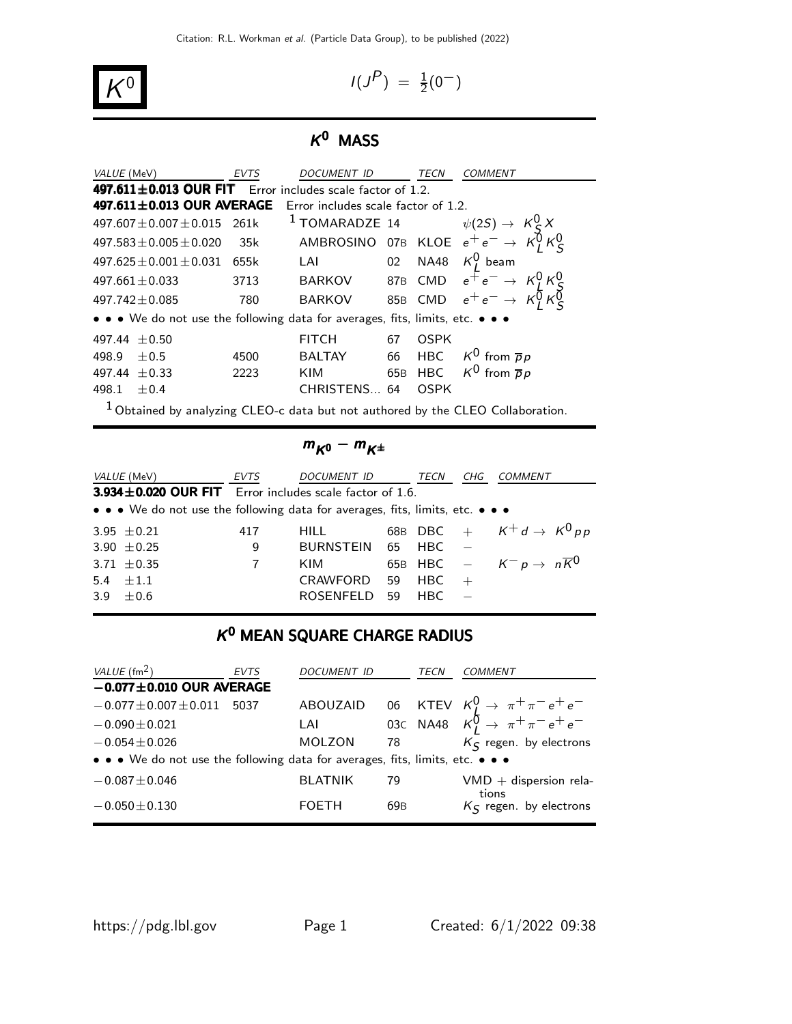$$
I(J^P) \, = \, \tfrac{1}{2}(0^-)
$$

# $K^0$  MASS

| <i>VALUE</i> (MeV)                                                                         | <b>EVTS</b>                                                         | DOCUMENT ID   |    | TECN | COMMENT                                                                                                                  |  |  |
|--------------------------------------------------------------------------------------------|---------------------------------------------------------------------|---------------|----|------|--------------------------------------------------------------------------------------------------------------------------|--|--|
| 497.611 $\pm$ 0.013 OUR FIT Error includes scale factor of 1.2.                            |                                                                     |               |    |      |                                                                                                                          |  |  |
|                                                                                            | 497.611 $\pm$ 0.013 OUR AVERAGE Error includes scale factor of 1.2. |               |    |      |                                                                                                                          |  |  |
| $497.607 + 0.007 + 0.015$                                                                  | 261k                                                                |               |    |      | 261k <sup>1</sup> TOMARADZE 14 $\psi(2S) \rightarrow K_S^0 X$<br>35k AMBROSINO 07B KLOE $e^+e^- \rightarrow K_I^0 K_S^0$ |  |  |
| $497.583 \pm 0.005 \pm 0.020$                                                              |                                                                     |               |    |      |                                                                                                                          |  |  |
| $497.625 \pm 0.001 \pm 0.031$                                                              | 655k                                                                | LAI           |    |      | 02 NA48 $K_t^0$ beam                                                                                                     |  |  |
| $497.661 + 0.033$                                                                          | 3713                                                                | BARKOV        |    |      | 87B CMD $e^+e^- \rightarrow K_L^0 K_S^0$<br>85B CMD $e^+e^- \rightarrow K_L^0 K_S^0$                                     |  |  |
| $497.742 + 0.085$                                                                          | 780                                                                 | BARKOV        |    |      |                                                                                                                          |  |  |
| • • • We do not use the following data for averages, fits, limits, etc. • • •              |                                                                     |               |    |      |                                                                                                                          |  |  |
| 497.44 $\pm$ 0.50                                                                          |                                                                     | <b>FITCH</b>  | 67 | OSPK |                                                                                                                          |  |  |
| 498.9<br>$+0.5$                                                                            | 4500                                                                | <b>BALTAY</b> | 66 |      | HBC $K^0$ from $\overline{p}p$                                                                                           |  |  |
| 497.44 $\pm$ 0.33                                                                          | 2223                                                                | <b>KIM</b>    |    |      | 65B HBC $K^0$ from $\overline{p}p$                                                                                       |  |  |
| 498.1<br>$+0.4$                                                                            |                                                                     | CHRISTENS 64  |    | OSPK |                                                                                                                          |  |  |
| <sup>1</sup> Obtained by analyzing CLEO-c data but not authored by the CLEO Collaboration. |                                                                     |               |    |      |                                                                                                                          |  |  |

# $m_{K0}-m_{K^{\pm}}$

| <i>VALUE (</i> MeV)                                                           | EVTS           | DOCUMENT ID TECN CHG |        | <i>COMMENT</i>                                |
|-------------------------------------------------------------------------------|----------------|----------------------|--------|-----------------------------------------------|
| $3.934 \pm 0.020$ OUR FIT Error includes scale factor of 1.6.                 |                |                      |        |                                               |
| • • • We do not use the following data for averages, fits, limits, etc. • • • |                |                      |        |                                               |
| 3.95 $\pm$ 0.21                                                               | 417            | <b>HILL</b>          |        | 68B DBC + $K^+d \rightarrow K^0 p p$          |
| 3.90 $\pm$ 0.25                                                               | 9              | BURNSTEIN 65 HBC -   |        |                                               |
| 3.71 $\pm$ 0.35                                                               | $\overline{7}$ | KIM                  |        | 65B HBC $ K^- p \rightarrow n \overline{K^0}$ |
| 5.4 $\pm 1.1$                                                                 |                | CRAWFORD 59 HBC $+$  |        |                                               |
| 3.9 $\pm 0.6$                                                                 |                | <b>ROSENFELD</b>     | 59 HBC |                                               |

# $K^0$  MEAN SQUARE CHARGE RADIUS

| VALUE (fm <sup>2</sup> )                                                      | <b>EVTS</b> | <b>DOCUMENT ID</b> |                 | TECN | COMMENT                                                                             |
|-------------------------------------------------------------------------------|-------------|--------------------|-----------------|------|-------------------------------------------------------------------------------------|
| $-0.077 \pm 0.010$ OUR AVERAGE                                                |             |                    |                 |      |                                                                                     |
| $-0.077 \pm 0.007 \pm 0.011$                                                  | 5037        | ABOUZAID           |                 |      |                                                                                     |
| $-0.090 \pm 0.021$                                                            |             | LAI                |                 |      | 06 KTEV $K_L^0 \to \pi^+ \pi^- e^+ e^-$<br>03c NA48 $K_L^0 \to \pi^+ \pi^- e^+ e^-$ |
| $-0.054 \pm 0.026$                                                            |             | <b>MOLZON</b>      | 78 —            |      | $K_S$ regen. by electrons                                                           |
| • • • We do not use the following data for averages, fits, limits, etc. • • • |             |                    |                 |      |                                                                                     |
| $-0.087 \pm 0.046$                                                            |             | <b>BLATNIK</b>     | 79              |      | $VMD +$ dispersion rela-                                                            |
| $-0.050 \pm 0.130$                                                            |             | <b>FOETH</b>       | 69 <sub>B</sub> |      | tions<br>$K_S$ regen. by electrons                                                  |

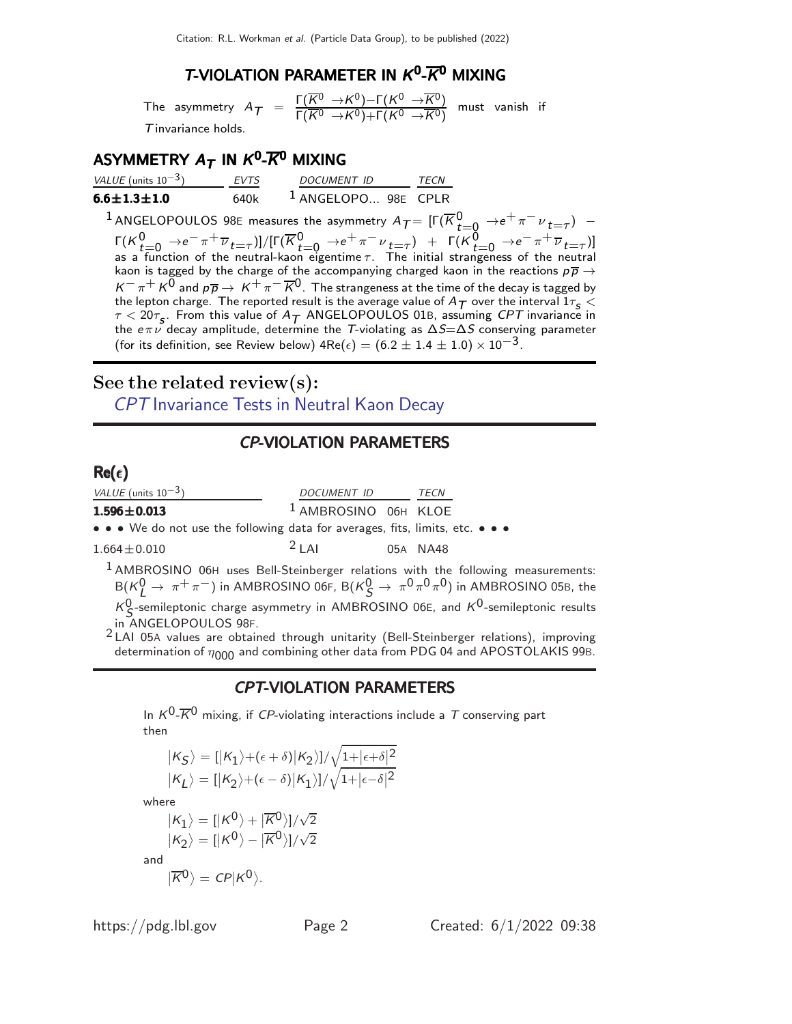# **T-VIOLATION PARAMETER IN**  $K^0$ **-** $\overline{K}^0$  **mixing**

The asymmetry  $A_{\mathcal{T}} = \frac{\Gamma(\overline{K^0} \to K^0)-\Gamma(K^0 \to \overline{K^0})}{\Gamma(\overline{K^0} \to K^0)+\Gamma(K^0 \to \overline{K^0})}$  $\frac{1}{\Gamma(\overline{K^0} \rightarrow K^0)+\Gamma(K^0 \rightarrow \overline{K^0})}$  must vanish if  $T$  invariance holds.

# ASYMMETRY  $A_{\mathcal{T}}$  in  $\mathcal{K}^{\mathbf{0}_{-}\overline{\mathcal{K}}^{\mathbf{0}}}$  mixing

| VALUE (units $10^{-3}$ ) | <b>FVTS</b> | DOCUMENT ID                    | <b>TFCN</b> |
|--------------------------|-------------|--------------------------------|-------------|
| $6.6 \pm 1.3 \pm 1.0$    | 640k        | <sup>1</sup> ANGELOPO 98E CPLR |             |

 $^1$  ANGELOPOULOS 98E measures the asymmetry  $A_{\mathcal{T}} = [\Gamma(\overline{K}^0_{t=0} \rightarrow e^+ \pi^- \nu_{t=\tau})$   $\Gamma(K^0_{t=0} \rightarrow e^- \pi^+ \overline{\nu}_{t=\tau})]/[\Gamma(\overline{K}^0_{t=0} \rightarrow e^+ \pi^- \nu_{t=\tau}) + \Gamma(K^0_{t=0} \rightarrow e^- \pi^+ \overline{\nu}_{t=\tau})]$ as a function of the neutral-kaon eigentime  $\tau$ . The initial strangeness of the neutral kaon is tagged by the charge of the accompanying charged kaon in the reactions  $p\overline{p} \rightarrow$  $K^-\pi^+ K^0$  and  $p\overline{p} \to K^+\pi^-\overline{K}{}^0$ . The strangeness at the time of the decay is tagged by the lepton charge. The reported result is the average value of  $A_T$  over the interval  $1\tau_s <$  $\tau < 20\tau_{\sf s}$ . From this value of  $A_{\cal T}$  ANGELOPOULOS 01B, assuming CPT invariance in the e $\pi \nu$  decay amplitude, determine the T-violating as  $\Delta S=\Delta S$  conserving parameter (for its definition, see Review below) 4Re( $\epsilon) = (6.2 \pm 1.4 \pm 1.0) \times 10^{-3}$ .

# See the related review(s):

CPT [Invariance Tests in Neutral Kaon Decay](http://pdg.lbl.gov/2022/reviews/rpp2021-rev-cpt-invariance-tests.pdf)

### CP-VIOLATION PARAMETERS

#### $Re(\epsilon)$

| VALUE (units $10^{-3}$ )                                                                  | DOCUMENT ID                     | TECN     |
|-------------------------------------------------------------------------------------------|---------------------------------|----------|
| $1.596 \pm 0.013$                                                                         | <sup>1</sup> AMBROSINO 06H KLOE |          |
| • • • We do not use the following data for averages, fits, limits, etc. • • •             |                                 |          |
| $1.664 \pm 0.010$                                                                         | $2$   Al                        | 05A NA48 |
| $1$ AMPROCINO, $Q_{\text{eff}}$ uses Rell Christophornes solutions with the following are |                                 |          |

 $1$  AMBROSINO 06H uses Bell-Steinberger relations with the following measurements:  $B(K^0_L \to \pi^+ \pi^-)$  in AMBROSINO 06F,  $B(K^0_S \to \pi^0 \pi^0 \pi^0)$  in AMBROSINO 05B, the  $K^0$ -semileptonic charge asymmetry in AMBROSINO 06E, and  $K^0$ -semileptonic results in ANGELOPOULOS 98F.

<sup>2</sup> LAI 05A values are obtained through unitarity (Bell-Steinberger relations), improving determination of  $\eta_{000}$  and combining other data from PDG 04 and APOSTOLAKIS 99B.

#### CPT-VIOLATION PARAMETERS

In  $K^0$ - $\overline{K}{}^0$  mixing, if CP-violating interactions include a T conserving part then

$$
|K_{S}\rangle = [|K_{1}\rangle + (\epsilon + \delta)|K_{2}\rangle]/\sqrt{1+|\epsilon + \delta|^{2}}
$$
  
\n
$$
|K_{L}\rangle = [|K_{2}\rangle + (\epsilon - \delta)|K_{1}\rangle]/\sqrt{1+|\epsilon - \delta|^{2}}
$$
  
\nwhere  
\n
$$
|K_{1}\rangle = [|K^{0}\rangle + |\overline{K}^{0}\rangle]/\sqrt{2}
$$
  
\n
$$
|K_{2}\rangle = |K^{0}\rangle - |\overline{K}^{0}\rangle]/\sqrt{2}
$$
  
\nand  
\n
$$
|\overline{K}^{0}\rangle = CP|K^{0}\rangle.
$$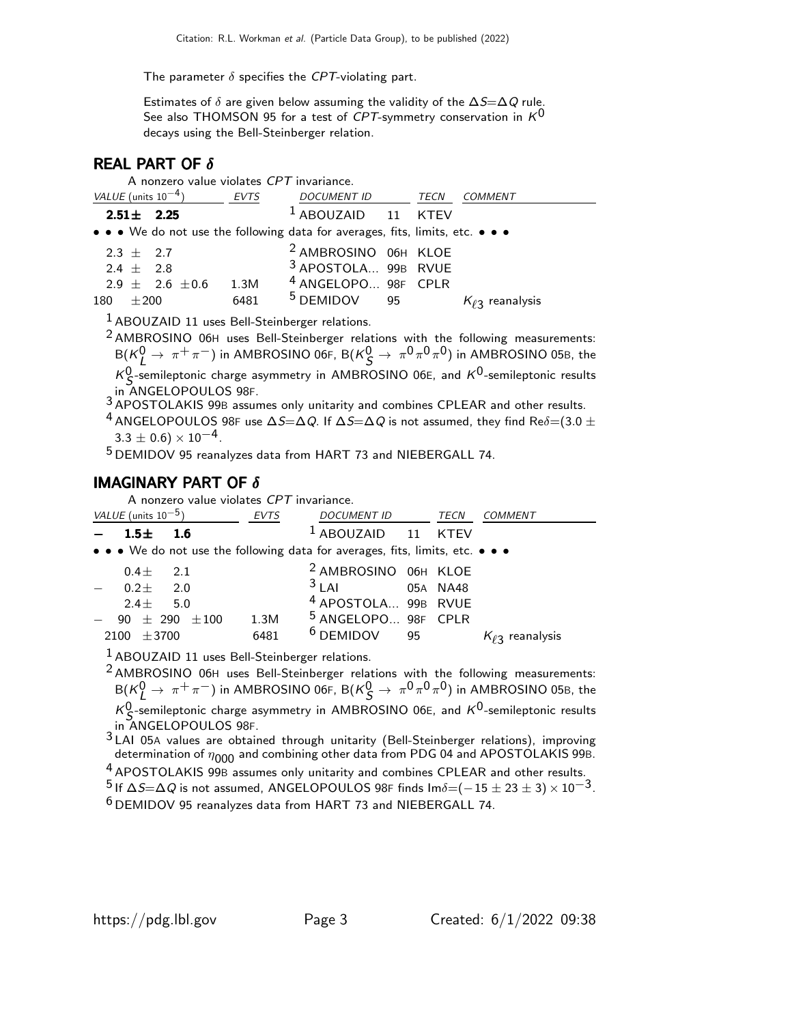The parameter  $\delta$  specifies the CPT-violating part.

Estimates of  $\delta$  are given below assuming the validity of the  $\Delta S=\Delta Q$  rule. See also THOMSON 95 for a test of CPT-symmetry conservation in  $K^0$ decays using the Bell-Steinberger relation.

## REAL PART OF  $\delta$

A nonzero value violates CPT invariance.

| VALUE (units $10^{-4}$ ) |        |                 |                       | EVTS                                                                          | <i>DOCUMENT ID</i>              | TECN | <i>COMMENT</i>          |
|--------------------------|--------|-----------------|-----------------------|-------------------------------------------------------------------------------|---------------------------------|------|-------------------------|
|                          |        | $2.51 \pm 2.25$ |                       |                                                                               | <sup>1</sup> ABOUZAID 11 KTEV   |      |                         |
|                          |        |                 |                       | • • • We do not use the following data for averages, fits, limits, etc. • • • |                                 |      |                         |
| $2.3 + 2.7$              |        |                 |                       |                                                                               | <sup>2</sup> AMBROSINO 06H KLOE |      |                         |
| $2.4 + 2.8$              |        |                 |                       |                                                                               | 3 APOSTOLA 99B RVUE             |      |                         |
|                          |        |                 | $2.9 \pm 2.6 \pm 0.6$ | 1.3M                                                                          | <sup>4</sup> ANGELOPO 98F CPLR  |      |                         |
| 180                      | $+200$ |                 |                       | 6481                                                                          | <sup>5</sup> DEMIDOV 95         |      | $K_{\ell 2}$ reanalysis |

 $<sup>1</sup>$ ABOUZAID 11 uses Bell-Steinberger relations.</sup>

 $2$  AMBROSINO 06H uses Bell-Steinberger relations with the following measurements:  $B(K^0_L \to \pi^+ \pi^-)$  in AMBROSINO 06F,  $B(K^0_S \to \pi^0 \pi^0 \pi^0)$  in AMBROSINO 05B, the  $K^0$ -semileptonic charge asymmetry in AMBROSINO 06E, and  $K^0$ -semileptonic results in ANGELOPOULOS 98F.

3 APOSTOLAKIS 99B assumes only unitarity and combines CPLEAR and other results.

 $^4$  ANGELOPOULOS 98F use  $\Delta S=\Delta Q$ . If  $\Delta S=\Delta Q$  is not assumed, they find Re $\delta{=}(3.0\pm1.01)$  $3.3 \pm 0.6$ ) ×  $10^{-4}$ .

5 DEMIDOV 95 reanalyzes data from HART 73 and NIEBERGALL 74.

#### **IMAGINARY PART OF**  $\delta$

A nonzero value violates CPT invariance.

| VALUE (units $10^{-5}$ )                                                      | <i>DOCUMENT ID</i><br>EVTS             | TECN<br>COMMENT         |
|-------------------------------------------------------------------------------|----------------------------------------|-------------------------|
| $1.5 \pm$<br>1.6                                                              | <b>ABOUZAID</b>                        | <b>KTFV</b><br>11       |
| • • • We do not use the following data for averages, fits, limits, etc. • • • |                                        |                         |
| $0.4 + 2.1$                                                                   | <sup>2</sup> AMBROSINO 06H KLOE        |                         |
| $0.2 +$<br>2.0                                                                | 3 A                                    | 05A NA48                |
| $2.4 + 5.0$                                                                   | <sup>4</sup> APOSTOLA 99B RVUE         |                         |
| $\pm$ 290<br>$\pm\,100$<br>90                                                 | <sup>5</sup> ANGELOPO 98F CPLR<br>1.3M |                         |
| $+3700$<br>2100                                                               | $6$ DEMIDOV<br>95<br>6481              | $K_{\ell 3}$ reanalysis |

 $<sup>1</sup>$ ABOUZAID 11 uses Bell-Steinberger relations.</sup>

 $2$  AMBROSINO 06H uses Bell-Steinberger relations with the following measurements:  ${\sf B}({\sf K}_{\sf L}^0\to\pi^+\pi^-)$  in AMBROSINO 06F,  ${\sf B}({\sf K}_{\sf S}^0\to\pi^0\pi^0\pi^0)$  in AMBROSINO 05B, the  $K^0$ -semileptonic charge asymmetry in AMBROSINO 06E, and  $K^0$ -semileptonic results

in ANGELOPOULOS 98F.

3 LAI 05A values are obtained through unitarity (Bell-Steinberger relations), improving determination of  $\eta_{000}$  and combining other data from PDG 04 and APOSTOLAKIS 99B.

<sup>4</sup> APOSTOLAKIS 99B assumes only unitarity and combines CPLEAR and other results. <sup>5</sup> If  $\Delta$ S= $\Delta$ Q is not assumed, ANGELOPOULOS 98F finds Im $\delta$ =(−15 ± 23 ± 3) × 10<sup>-3</sup>.

6 DEMIDOV 95 reanalyzes data from HART 73 and NIEBERGALL 74.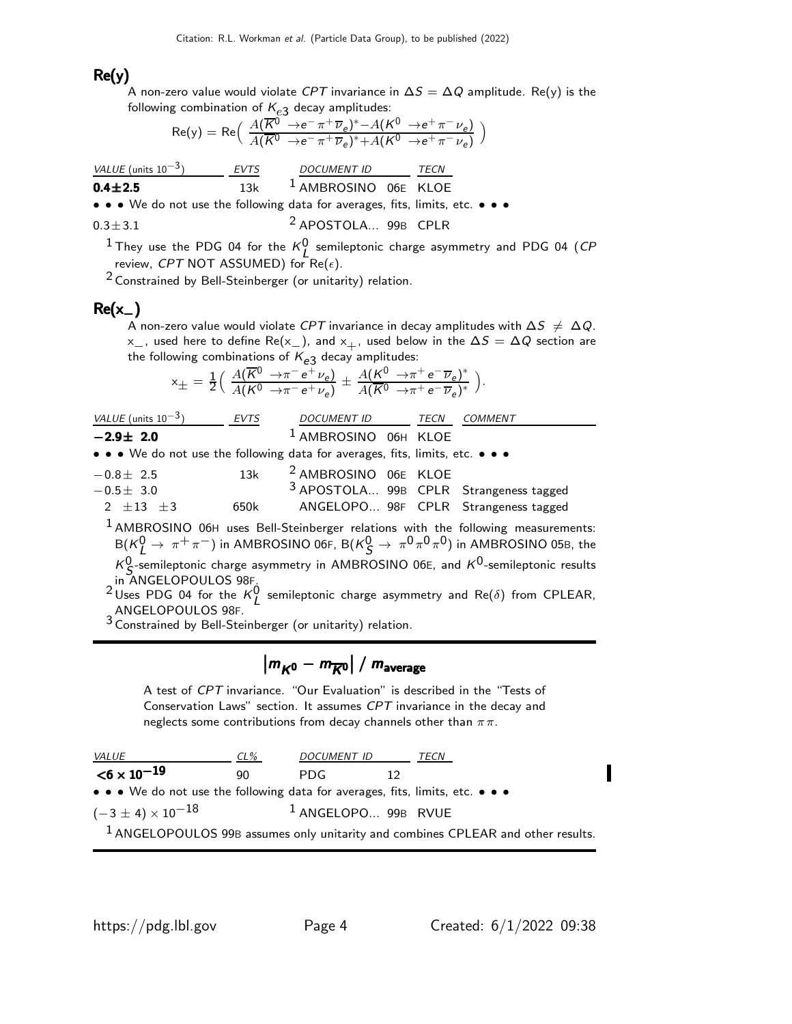#### $Re(y)$

A non-zero value would violate  $CPT$  invariance in  $\Delta S = \Delta Q$  amplitude. Re(y) is the following combination of  $K_{e3}$  decay amplitudes:

$$
Re(y) = Re\left(\frac{A(\overline{K^{0}} \rightarrow e^{-}\pi^{+}\overline{\nu}_{e})^{*} - A(K^{0} \rightarrow e^{+}\pi^{-}\nu_{e})}{A(\overline{K^{0}} \rightarrow e^{-}\pi^{+}\overline{\nu}_{e})^{*} + A(K^{0} \rightarrow e^{+}\pi^{-}\nu_{e})}\right)
$$

| VALUE (units 10 <sup>-3</sup> ) | EVTS  | DOCUMENT ID | TECN   |        |
|---------------------------------|-------|-------------|--------|--------|
| <b>0.4±2.5</b>                  | $13k$ | $1200$      | $1400$ | $1600$ |

• • • We do not use the following data for averages, fits, limits, etc. • • •

$$
0.3 \pm 3.1
$$
 2 **APOSTOLA...** 99B **CPLR**

<sup>1</sup> They use the PDG 04 for the  $K^0_L$  semileptonic charge asymmetry and PDG 04 (CP review, CPT NOT ASSUMED) for Re( $\epsilon$ ).

2 Constrained by Bell-Steinberger (or unitarity) relation.

#### $Re(x_$ )

A non-zero value would violate CPT invariance in decay amplitudes with  $\Delta S \neq \Delta Q$ .  $x_$ , used here to define Re(x<sub>−</sub>), and  $x_+$ , used below in the  $\Delta S = \Delta Q$  section are the following combinations of  $K_{e3}$  decay amplitudes:

$$
x_{\pm} = \frac{1}{2} \left( \frac{A(\overline{K}^0 \to \pi^- e^+ \nu_e)}{A(K^0 \to \pi^- e^+ \nu_e)} \pm \frac{A(K^0 \to \pi^+ e^- \overline{\nu}_e)^*}{A(\overline{K}^0 \to \pi^+ e^- \overline{\nu}_e)^*} \right).
$$

| <i>VALUE</i> (units $10^{-3}$ ) | EVTS                                                                          | DOCUMENT ID TECN COMMENT        |                                                                                                     |
|---------------------------------|-------------------------------------------------------------------------------|---------------------------------|-----------------------------------------------------------------------------------------------------|
| $-2.9\pm 2.0$                   |                                                                               | <sup>1</sup> AMBROSINO 06H KLOE |                                                                                                     |
|                                 | • • • We do not use the following data for averages, fits, limits, etc. • • • |                                 |                                                                                                     |
| $-0.8 \pm 2.5$                  | 13k                                                                           | <sup>2</sup> AMBROSINO 06E KLOE |                                                                                                     |
| $-0.5 \pm 3.0$                  |                                                                               |                                 | 3 APOSTOLA 99B CPLR Strangeness tagged                                                              |
| 2 $\pm 13$ $\pm 3$              | 650k                                                                          |                                 | ANGELOPO 98F CPLR Strangeness tagged                                                                |
|                                 |                                                                               |                                 | <sup>1</sup> AMBROSINO 06H uses Bell-Steinberger relations with the following measurements:         |
|                                 |                                                                               |                                 | $B(K_I^0 \to \pi^+ \pi^-)$ in AMBROSINO 06F, $B(K_S^0 \to \pi^0 \pi^0 \pi^0)$ in AMBROSINO 05B, the |
|                                 |                                                                               |                                 |                                                                                                     |

 $K_{\mathcal{S}}^{0}$ -semileptonic charge asymmetry in AMBROSINO 06E, and  $K^{0}$ -semileptonic results  $\gamma_S$ -semileptonic charge asymmetry in AMDROSINO 602, and  $\gamma$  -semileptonic results<br>in ANGELOPOULOS 98F.<br><sup>2</sup> Uses PDG 04 for the K<sup>0</sup> semileptonic charge asymmetry and Re( $\delta$ ) from CPLEAR,

ANGELOPOULOS 98F.

3 Constrained by Bell-Steinberger (or unitarity) relation.

# $\left|m_{K^0} - m_{\overline{K}{}^0}\right|$  /  $m_{\text{average}}$

A test of CPT invariance. "Our Evaluation" is described in the "Tests of Conservation Laws" section. It assumes CPT invariance in the decay and neglects some contributions from decay channels other than  $\pi\pi$ .

| <i>VALUE</i>                                                                       | CL% | <i>DOCUMENT ID</i>             |  | TECN |  |
|------------------------------------------------------------------------------------|-----|--------------------------------|--|------|--|
| $<$ 6 $\times$ 10 $^{-19}$                                                         | 90  | <b>PDG</b>                     |  |      |  |
| • • • We do not use the following data for averages, fits, limits, etc. • • •      |     |                                |  |      |  |
| $(-3 \pm 4) \times 10^{-18}$                                                       |     | <sup>1</sup> ANGELOPO 99B RVUE |  |      |  |
| $1$ ANGELOPOULOS 99B assumes only unitarity and combines CPLEAR and other results. |     |                                |  |      |  |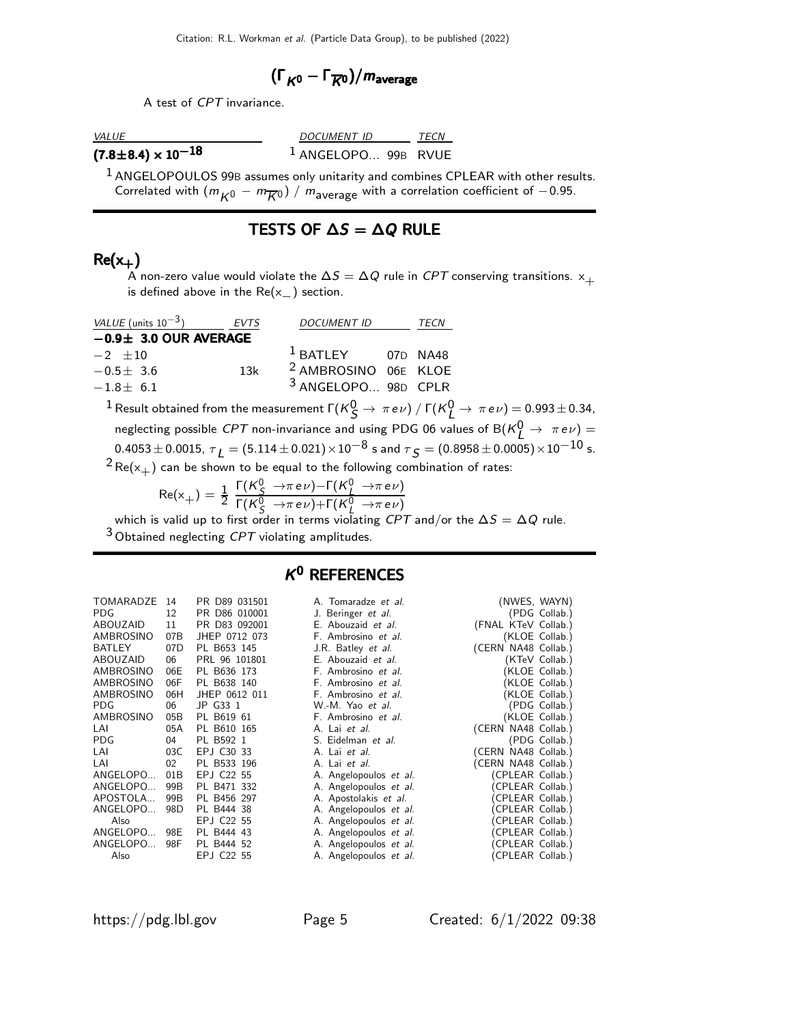$$
(\Gamma_{K^0}-\Gamma_{\overline{K}{}^0})/m_{\rm average}
$$

A test of CPT invariance.

VALUE DOCUMENT ID TECN  $(7.8\pm8.4)\times10^{-18}$  1 ANGELOPO... 99B RVUE

<sup>1</sup> ANGELOPOULOS 99B assumes only unitarity and combines CPLEAR with other results. Correlated with  $(m_{K^0} - m_{\overline{K}^0}) / m_{\text{average}}$  with a correlation coefficient of  $-0.95$ .

#### TESTS OF  $\Delta S = \Delta Q$  RULE

### $Re(x_+)$

 $\stackrel{\text{\tiny{\textsf{L}}}}{A}$  non-zero value would violate the  $\Delta S = \Delta Q$  rule in  ${\it CPT}$  conserving transitions.  $\times_{+}$ is defined above in the  $Re(x_+)$  section.

| <i>VALUE</i> (units $10^{-3}$ ) | EVTS | <b>DOCUMENT ID</b>              | TECN |  |
|---------------------------------|------|---------------------------------|------|--|
| $-0.9\pm 3.0$ OUR AVERAGE       |      |                                 |      |  |
| $-2$ +10                        |      | $1$ BATLEY 07D NA48             |      |  |
| $-0.5 + 3.6$                    | 13k  | <sup>2</sup> AMBROSINO 06E KLOE |      |  |
| $-1.8 + 6.1$                    |      | <sup>3</sup> ANGELOPO 98D CPLR  |      |  |

 $^1$  Result obtained from the measurement  $\Gamma(K_S^0\to\,\pi\,e\nu)$  /  $\Gamma(K_L^0\to\,\pi\,e\nu)=$  0.993  $\pm$  0.34, neglecting possible *CPT* non-invariance and using PDG 06 values of B( $\kappa_L^0 \rightarrow \pi e \nu$ ) =  $0.4053 \pm 0.0015,~\tau_{\large L} = (5.114 \pm 0.021) \times 10^{-8}$  s and  $\tau_{\large S} = (0.8958 \pm 0.0005) \times 10^{-10}$  s.

 $2$ Re( $x_{+}$ ) can be shown to be equal to the following combination of rates:

$$
\text{Re}(x_+) = \frac{1}{2} \frac{\Gamma(K_S^0 \to \pi e \nu) - \Gamma(K_L^0 \to \pi e \nu)}{\Gamma(K_S^0 \to \pi e \nu) + \Gamma(K_L^0 \to \pi e \nu)}
$$

which is valid up to first order in terms violating  $CPT$  and/or the  $\Delta S=\Delta Q$  rule.  $3$  Obtained neglecting CPT violating amplitudes.

# $K^0$  REFERENCES

| TOMARADZE<br>PDG<br>ABOUZAID<br>AMBROSINO<br>BATLEY<br>ABOUZAID<br>AMBROSINO<br>AMBROSINO<br>AMBROSINO<br>PDG<br>AMBROSINO<br>I AI<br>PDG<br>LAI<br>I AI | 14<br>12<br>11<br>07B<br>07D<br>06<br>06E<br>06F<br>06H<br>06<br>05B -<br>05A<br>04<br>03C<br>02 | PR D89 031501<br>010001<br>D86.<br>PR.<br>D83 092001<br>PRI<br>IHFP 0712 073<br>PL B653 145<br>PRL 96 101801<br>PL B636 173<br>PL B638 140<br>JHEP 0612 011<br>JP G33 1<br>B619 61<br>PL<br>B610 165<br>PL<br>PL B592 1<br>EPJ C30 33<br>PL B533 196 |
|----------------------------------------------------------------------------------------------------------------------------------------------------------|--------------------------------------------------------------------------------------------------|------------------------------------------------------------------------------------------------------------------------------------------------------------------------------------------------------------------------------------------------------|
| ANGELOPO                                                                                                                                                 | 01B                                                                                              | EPJ C22 55                                                                                                                                                                                                                                           |
| ANGELOPO                                                                                                                                                 | 99B                                                                                              | PL B471<br>332                                                                                                                                                                                                                                       |
| APOSTOLA                                                                                                                                                 | 99 <sub>B</sub>                                                                                  | B456 297<br>PL∶                                                                                                                                                                                                                                      |
| ANGELOPO                                                                                                                                                 | 98D                                                                                              | PL B444 38                                                                                                                                                                                                                                           |
| Also                                                                                                                                                     |                                                                                                  | EPJ C22 55                                                                                                                                                                                                                                           |
| ANGELOPO                                                                                                                                                 | 98E                                                                                              | B444 43<br>PL                                                                                                                                                                                                                                        |
| ANGELOPO                                                                                                                                                 | 98F -                                                                                            | -52<br>R444<br>PL                                                                                                                                                                                                                                    |
| Also                                                                                                                                                     |                                                                                                  | FPI C22 55                                                                                                                                                                                                                                           |

A. Tomaradze et al. (NWES, WAYN)

https://pdg.lbl.gov Page 5 Created: 6/1/2022 09:38

J. Beringer et al. (PDG Collab.)<br>
E. Abouzaid et al. (FNAL KTeV Collab.) (FNAL KTeV Collab.) (KLOE Collab.) (CERN NA48 Collab.) (KTeV Collab.) (KLOE Collab.) (KLOE Collab.) (KLOE Collab.) (PDG Collab.)  $(\dot{\mathsf{K}}$ LOE Collab.)  $(CERN)$  NA48 Collab.) (PDG Collab.) (CERN NA48 Collab.) (CERN NA48 Collab.) (CPLEAR Collab.) (CPLEAR Collab.) (CPLEAR Collab.)  $\hat{C}$ CPLEAR Collab.  $\hat{(CPIEAR\ Collab.)}$  $(CPLEAR$  Collab.)  $(CPLEAR$  Collab.) (CPLEAR Collab.)